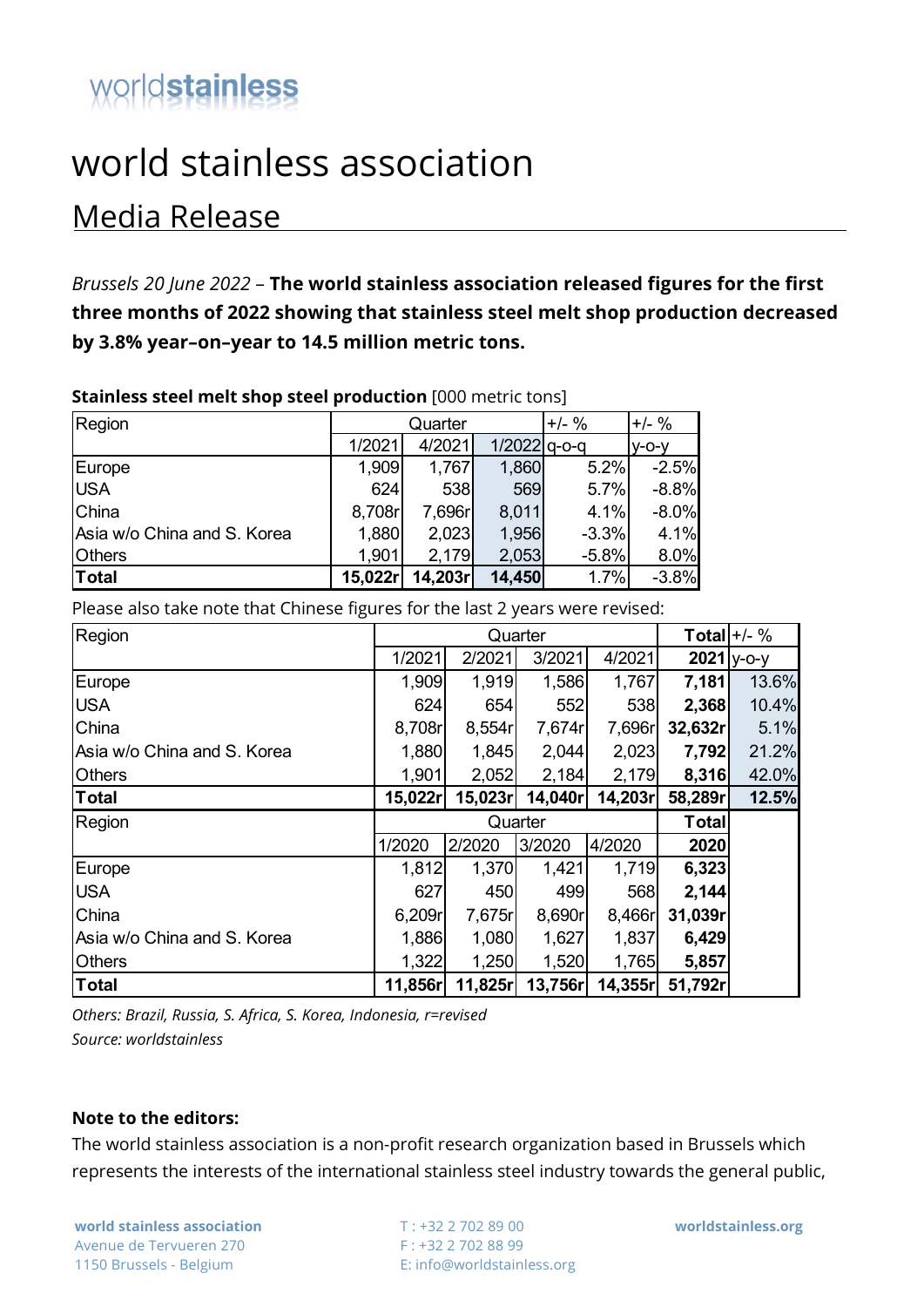## worldstainless

## world stainless association

## Media Release

*Brussels 20 June 2022* – **The world stainless association released figures for the first three months of 2022 showing that stainless steel melt shop production decreased by 3.8% year–on–year to 14.5 million metric tons.**

| Region                      |         | Quarter  | $+/-$ %        | $+/-$ % |         |  |  |  |  |  |
|-----------------------------|---------|----------|----------------|---------|---------|--|--|--|--|--|
|                             | 1/2021  | 4/2021   | $1/2022$ q-o-q |         | $V-O-V$ |  |  |  |  |  |
| Europe                      | 1,909   | 1,767    | 1,860          | 5.2%    | $-2.5%$ |  |  |  |  |  |
| <b>USA</b>                  | 624     | 538      | 569            | 5.7%    | $-8.8%$ |  |  |  |  |  |
| China                       | 8,708r  | 7,696r   | 8,011          | 4.1%    | $-8.0%$ |  |  |  |  |  |
| Asia w/o China and S. Korea | 1,880   | 2,023    | 1,956          | $-3.3%$ | 4.1%    |  |  |  |  |  |
| <b>Others</b>               | 1,901   | 2,179    | 2,053          | $-5.8%$ | 8.0%    |  |  |  |  |  |
| Total                       | 15,022r | 14,203rl | 14,450         | 1.7%    | $-3.8%$ |  |  |  |  |  |

**Stainless steel melt shop steel production** [000 metric tons]

Please also take note that Chinese figures for the last 2 years were revised:

| Region                      |         | Quarter | Total $+/-$ % |         |              |       |
|-----------------------------|---------|---------|---------------|---------|--------------|-------|
|                             | 1/2021  | 2/2021  | 3/2021        | 4/2021  | $2021$ y-o-y |       |
| Europe                      | 1,909   | 1,919   | 1,586         | 1,767   | 7,181        | 13.6% |
| <b>USA</b>                  | 624     | 654     | 552           | 538     | 2,368        | 10.4% |
| China                       | 8,708r  | 8,554r  | 7,674r        | 7,696r  | 32,632r      | 5.1%  |
| Asia w/o China and S. Korea | 1,880   | 1,845   | 2,044         | 2,023   | 7,792        | 21.2% |
| <b>Others</b>               | 1,901   | 2,052   | 2,184         | 2,179   | 8,316        | 42.0% |
| <b>Total</b>                | 15,022r | 15,023r | 14,040r       | 14,203r | 58,289r      | 12.5% |
|                             |         |         |               |         |              |       |
| Region                      |         |         | Quarter       |         | <b>Total</b> |       |
|                             | 1/2020  | 2/2020  | 3/2020        | 4/2020  | 2020         |       |
| Europe                      | 1,812   | 1,370   | 1,421         | 1,719   | 6,323        |       |
| <b>USA</b>                  | 627     | 450     | 499           | 568     | 2,144        |       |
| China                       | 6,209r  | 7,675r  | 8,690r        | 8,466r  | 31,039r      |       |
| Asia w/o China and S. Korea | 1,886   | 1,080   | 1,627         | 1,837   | 6,429        |       |
| <b>Others</b>               | 1,322   | 1,250   | 1,520         | 1,765   | 5,857        |       |

*Others: Brazil, Russia, S. Africa, S. Korea, Indonesia, r=revised Source: worldstainless*

## **Note to the editors:**

The world stainless association is a non-profit research organization based in Brussels which represents the interests of the international stainless steel industry towards the general public,